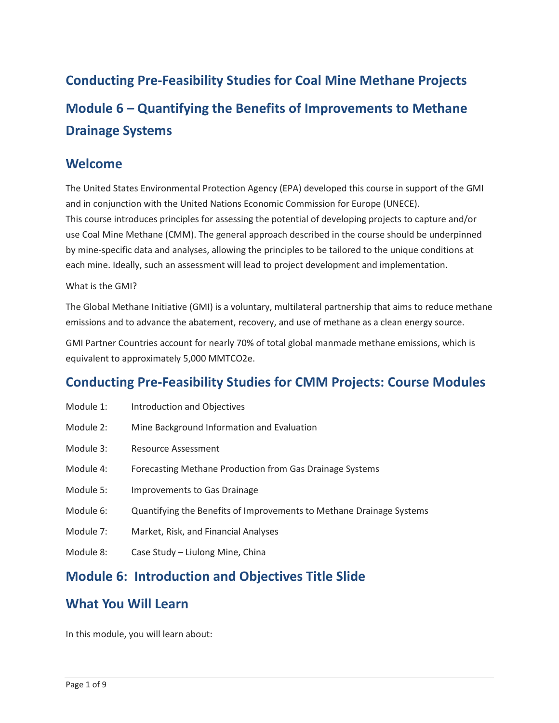**Conducting Pre-Feasibility Studies for Coal Mine Methane Projects Module 6 – Quantifying the Benefits of Improvements to Methane Drainage Systems** 

#### **Welcome**

 The United States Environmental Protection Agency (EPA) developed this course in support of the GMI and in conjunction with the United Nations Economic Commission for Europe (UNECE). This course introduces principles for assessing the potential of developing projects to capture and/or use Coal Mine Methane (CMM). The general approach described in the course should be underpinned by mine-specific data and analyses, allowing the principles to be tailored to the unique conditions at each mine. Ideally, such an assessment will lead to project development and implementation.

#### What is the GMI?

 The Global Methane Initiative (GMI) is a voluntary, multilateral partnership that aims to reduce methane emissions and to advance the abatement, recovery, and use of methane as a clean energy source.

GMI Partner Countries account for nearly 70% of total global manmade methane emissions, which is equivalent to approximately 5,000 MMTCO2e.

## **Conducting Pre-Feasibility Studies for CMM Projects: Course Modules**

| Module 1:<br>Introduction and Objectives |
|------------------------------------------|
|------------------------------------------|

- Module 2: Mine Background Information and Evaluation
- Module 3: Resource Assessment
- Module 4: Forecasting Methane Production from Gas Drainage Systems
- Module 5: Improvements to Gas Drainage
- Module 6: Quantifying the Benefits of Improvements to Methane Drainage Systems
- Module 7: Market, Risk, and Financial Analyses
- Module 8: Case Study Liulong Mine, China

## **Module 6: Introduction and Objectives Title Slide**

#### **What You Will Learn**

In this module, you will learn about: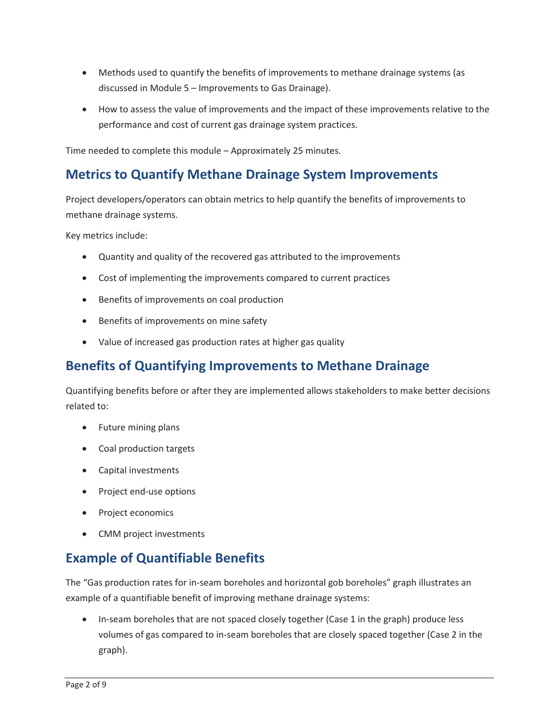- discussed in Module 5 Improvements to Gas Drainage). • Methods used to quantify the benefits of improvements to methane drainage systems (as
- • How to assess the value of improvements and the impact of these improvements relative to the performance and cost of current gas drainage system practices.

Time needed to complete this module – Approximately 25 minutes.

### **Metrics to Quantify Methane Drainage System Improvements**

Project developers/operators can obtain metrics to help quantify the benefits of improvements to methane drainage systems.

Key metrics include:

- Quantity and quality of the recovered gas attributed to the improvements
- Cost of implementing the improvements compared to current practices
- Benefits of improvements on coal production
- Benefits of improvements on mine safety
- Value of increased gas production rates at higher gas quality

## **Benefits of Quantifying Improvements to Methane Drainage**

Quantifying benefits before or after they are implemented allows stakeholders to make better decisions related to:

- Future mining plans
- Coal production targets
- Capital investments
- Project end-use options
- Project economics
- CMM project investments

## **Example of Quantifiable Benefits**

The "Gas production rates for in-seam boreholes and horizontal gob boreholes" graph illustrates an example of a quantifiable benefit of improving methane drainage systems:

• In-seam boreholes that are not spaced closely together (Case 1 in the graph) produce less volumes of gas compared to in-seam boreholes that are closely spaced together (Case 2 in the graph).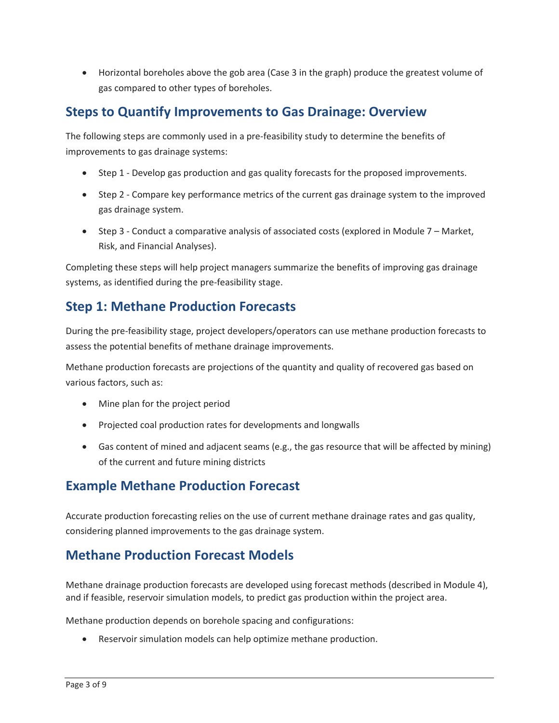• Horizontal boreholes above the gob area (Case 3 in the graph) produce the greatest volume of gas compared to other types of boreholes.

## **Steps to Quantify Improvements to Gas Drainage: Overview**

The following steps are commonly used in a pre-feasibility study to determine the benefits of improvements to gas drainage systems:

- Step 1 Develop gas production and gas quality forecasts for the proposed improvements.
- Step 2 Compare key performance metrics of the current gas drainage system to the improved gas drainage system.
- • Step 3 Conduct a comparative analysis of associated costs (explored in Module 7 Market, Risk, and Financial Analyses).

Completing these steps will help project managers summarize the benefits of improving gas drainage systems, as identified during the pre-feasibility stage.

# **Step 1: Methane Production Forecasts**

During the pre-feasibility stage, project developers/operators can use methane production forecasts to assess the potential benefits of methane drainage improvements.

 Methane production forecasts are projections of the quantity and quality of recovered gas based on various factors, such as:

- Mine plan for the project period
- Projected coal production rates for developments and longwalls
- • Gas content of mined and adjacent seams (e.g., the gas resource that will be affected by mining) of the current and future mining districts

# **Example Methane Production Forecast**

 considering planned improvements to the gas drainage system. Accurate production forecasting relies on the use of current methane drainage rates and gas quality,

### **Methane Production Forecast Models**

 Methane drainage production forecasts are developed using forecast methods (described in Module 4), and if feasible, reservoir simulation models, to predict gas production within the project area.

Methane production depends on borehole spacing and configurations:

• Reservoir simulation models can help optimize methane production.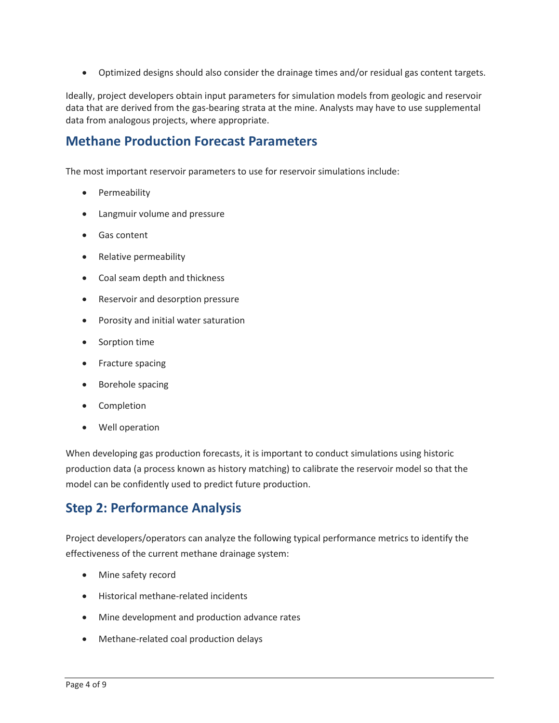• Optimized designs should also consider the drainage times and/or residual gas content targets. Ideally, project developers obtain input parameters for simulation models from geologic and reservoir data that are derived from the gas-bearing strata at the mine. Analysts may have to use supplemental data from analogous projects, where appropriate.

#### **Methane Production Forecast Parameters**

The most important reservoir parameters to use for reservoir simulations include:

- Permeability
- Langmuir volume and pressure
- Gas content
- Relative permeability
- Coal seam depth and thickness
- Reservoir and desorption pressure
- Porosity and initial water saturation
- Sorption time
- Fracture spacing
- Borehole spacing
- Completion
- Well operation

When developing gas production forecasts, it is important to conduct simulations using historic production data (a process known as history matching) to calibrate the reservoir model so that the model can be confidently used to predict future production.

#### **Step 2: Performance Analysis**

 Project developers/operators can analyze the following typical performance metrics to identify the effectiveness of the current methane drainage system:

- Mine safety record
- Historical methane-related incidents
- Mine development and production advance rates
- Methane-related coal production delays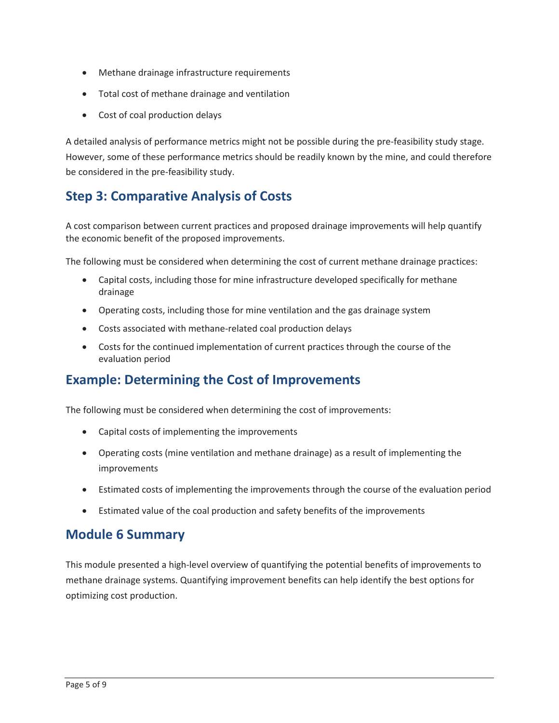- Methane drainage infrastructure requirements
- Total cost of methane drainage and ventilation
- Cost of coal production delays

 A detailed analysis of performance metrics might not be possible during the pre-feasibility study stage. However, some of these performance metrics should be readily known by the mine, and could therefore be considered in the pre-feasibility study.

## **Step 3: Comparative Analysis of Costs**

A cost comparison between current practices and proposed drainage improvements will help quantify the economic benefit of the proposed improvements.

The following must be considered when determining the cost of current methane drainage practices:

- • Capital costs, including those for mine infrastructure developed specifically for methane drainage
- Operating costs, including those for mine ventilation and the gas drainage system
- Costs associated with methane-related coal production delays
- • Costs for the continued implementation of current practices through the course of the evaluation period

#### **Example: Determining the Cost of Improvements**

The following must be considered when determining the cost of improvements:

- Capital costs of implementing the improvements
- Operating costs (mine ventilation and methane drainage) as a result of implementing the improvements
- Estimated costs of implementing the improvements through the course of the evaluation period
- Estimated value of the coal production and safety benefits of the improvements

### **Module 6 Summary**

 methane drainage systems. Quantifying improvement benefits can help identify the best options for This module presented a high-level overview of quantifying the potential benefits of improvements to optimizing cost production.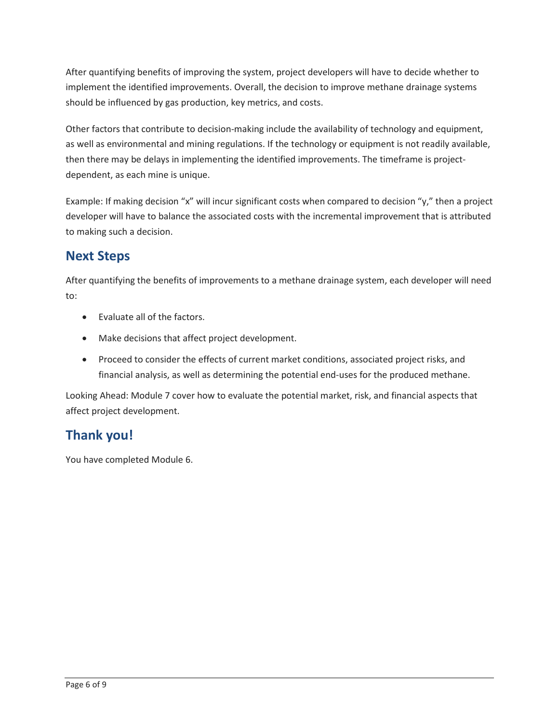should be influenced by gas production, key metrics, and costs. After quantifying benefits of improving the system, project developers will have to decide whether to implement the identified improvements. Overall, the decision to improve methane drainage systems

Other factors that contribute to decision-making include the availability of technology and equipment, as well as environmental and mining regulations. If the technology or equipment is not readily available, then there may be delays in implementing the identified improvements. The timeframe is projectdependent, as each mine is unique.

 Example: If making decision "x" will incur significant costs when compared to decision "y," then a project developer will have to balance the associated costs with the incremental improvement that is attributed to making such a decision.

## **Next Steps**

After quantifying the benefits of improvements to a methane drainage system, each developer will need to:

- Evaluate all of the factors.
- Make decisions that affect project development.
- • Proceed to consider the effects of current market conditions, associated project risks, and financial analysis, as well as determining the potential end-uses for the produced methane.

 affect project development. Looking Ahead: Module 7 cover how to evaluate the potential market, risk, and financial aspects that

## **Thank you!**

You have completed Module 6.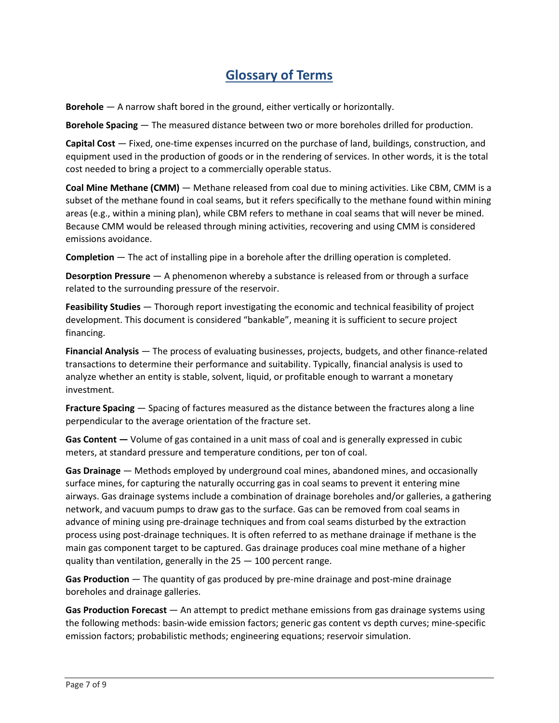## **Glossary of Terms**

**Borehole** — A narrow shaft bored in the ground, either vertically or horizontally.

**Borehole Spacing** — The measured distance between two or more boreholes drilled for production.

 **Capital Cost** — Fixed, one-time expenses incurred on the purchase of land, buildings, construction, and equipment used in the production of goods or in the rendering of services. In other words, it is the total cost needed to bring a project to a commercially operable status.

 **Coal Mine Methane (CMM)** — Methane released from coal due to mining activities. Like CBM, CMM is a subset of the methane found in coal seams, but it refers specifically to the methane found within mining areas (e.g., within a mining plan), while CBM refers to methane in coal seams that will never be mined. Because CMM would be released through mining activities, recovering and using CMM is considered emissions avoidance.

**Completion** — The act of installing pipe in a borehole after the drilling operation is completed.

 **Desorption Pressure** — A phenomenon whereby a substance is released from or through a surface related to the surrounding pressure of the reservoir.

 **Feasibility Studies** — Thorough report investigating the economic and technical feasibility of project development. This document is considered "bankable", meaning it is sufficient to secure project financing.

 **Financial Analysis** — The process of evaluating businesses, projects, budgets, and other finance-related analyze whether an entity is stable, solvent, liquid, or profitable enough to warrant a monetary transactions to determine their performance and suitability. Typically, financial analysis is used to investment.

 **Fracture Spacing** — Spacing of factures measured as the distance between the fractures along a line perpendicular to the average orientation of the fracture set.

**Gas Content —** Volume of gas contained in a unit mass of coal and is generally expressed in cubic meters, at standard pressure and temperature conditions, per ton of coal.

 **Gas Drainage** — Methods employed by underground coal mines, abandoned mines, and occasionally advance of mining using pre-drainage techniques and from coal seams disturbed by the extraction surface mines, for capturing the naturally occurring gas in coal seams to prevent it entering mine airways. Gas drainage systems include a combination of drainage boreholes and/or galleries, a gathering network, and vacuum pumps to draw gas to the surface. Gas can be removed from coal seams in process using post-drainage techniques. It is often referred to as methane drainage if methane is the main gas component target to be captured. Gas drainage produces coal mine methane of a higher quality than ventilation, generally in the 25 — 100 percent range.

 **Gas Production** — The quantity of gas produced by pre-mine drainage and post-mine drainage boreholes and drainage galleries.

 **Gas Production Forecast** — An attempt to predict methane emissions from gas drainage systems using the following methods: basin-wide emission factors; generic gas content vs depth curves; mine-specific emission factors; probabilistic methods; engineering equations; reservoir simulation.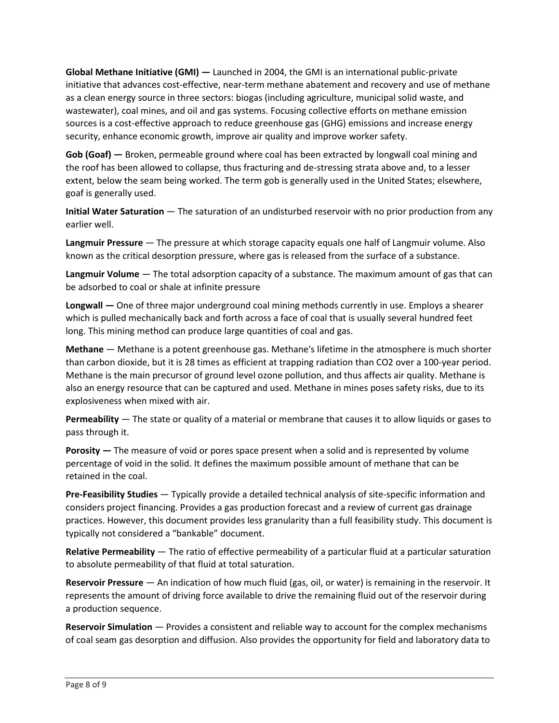**Global Methane Initiative (GMI) —** Launched in 2004, the GMI is an international public-private initiative that advances cost-effective, near-term methane abatement and recovery and use of methane sources is a cost-effective approach to reduce greenhouse gas (GHG) emissions and increase energy as a clean energy source in three sectors: biogas (including agriculture, municipal solid waste, and wastewater), coal mines, and oil and gas systems. Focusing collective efforts on methane emission security, enhance economic growth, improve air quality and improve worker safety.

 **Gob (Goaf) —** Broken, permeable ground where coal has been extracted by longwall coal mining and the roof has been allowed to collapse, thus fracturing and de-stressing strata above and, to a lesser extent, below the seam being worked. The term gob is generally used in the United States; elsewhere, goaf is generally used.

 **Initial Water Saturation** — The saturation of an undisturbed reservoir with no prior production from any earlier well.

 **Langmuir Pressure** — The pressure at which storage capacity equals one half of Langmuir volume. Also known as the critical desorption pressure, where gas is released from the surface of a substance.

 **Langmuir Volume** — The total adsorption capacity of a substance. The maximum amount of gas that can be adsorbed to coal or shale at infinite pressure

 **Longwall —** One of three major underground coal mining methods currently in use. Employs a shearer long. This mining method can produce large quantities of coal and gas. which is pulled mechanically back and forth across a face of coal that is usually several hundred feet

 **Methane** — Methane is a potent greenhouse gas. Methane's lifetime in the atmosphere is much shorter Methane is the main precursor of ground level ozone pollution, and thus affects air quality. Methane is also an energy resource that can be captured and used. Methane in mines poses safety risks, due to its than carbon dioxide, but it is 28 times as efficient at trapping radiation than CO2 over a 100-year period. explosiveness when mixed with air.

 **Permeability** — The state or quality of a material or membrane that causes it to allow liquids or gases to pass through it.

 **Porosity —** The measure of void or pores space present when a solid and is represented by volume percentage of void in the solid. It defines the maximum possible amount of methane that can be retained in the coal.

 **Pre-Feasibility Studies** — Typically provide a detailed technical analysis of site-specific information and considers project financing. Provides a gas production forecast and a review of current gas drainage practices. However, this document provides less granularity than a full feasibility study. This document is typically not considered a "bankable" document.

 **Relative Permeability** — The ratio of effective permeability of a particular fluid at a particular saturation to absolute permeability of that fluid at total saturation.

 **Reservoir Pressure** — An indication of how much fluid (gas, oil, or water) is remaining in the reservoir. It represents the amount of driving force available to drive the remaining fluid out of the reservoir during a production sequence.

 **Reservoir Simulation** — Provides a consistent and reliable way to account for the complex mechanisms of coal seam gas desorption and diffusion. Also provides the opportunity for field and laboratory data to